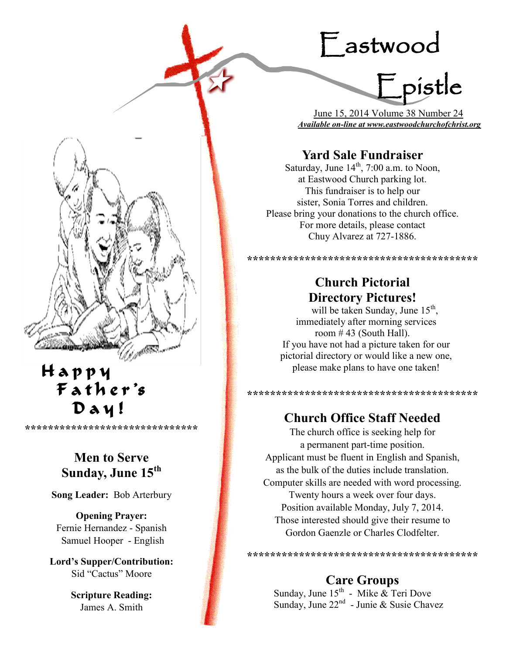# Eastwood

Epistle

 June 15, 2014 Volume 38 Number 24 *Available on-line at www.eastwoodchurchofchrist.org*

# **Yard Sale Fundraiser**

Saturday, June  $14<sup>th</sup>$ , 7:00 a.m. to Noon, at Eastwood Church parking lot. This fundraiser is to help our sister, Sonia Torres and children. Please bring your donations to the church office. For more details, please contact Chuy Alvarez at 727-1886.

# **Church Pictorial Directory Pictures!**

**\*\*\*\*\*\*\*\*\*\*\*\*\*\*\*\*\*\*\*\*\*\*\*\*\*\*\*\*\*\*\*\*\*\*\*\*\*\*\*\***

will be taken Sunday, June  $15<sup>th</sup>$ , immediately after morning services room  $\#$  43 (South Hall). If you have not had a picture taken for our pictorial directory or would like a new one, please make plans to have one taken!

# **Church Office Staff Needed**

**\*\*\*\*\*\*\*\*\*\*\*\*\*\*\*\*\*\*\*\*\*\*\*\*\*\*\*\*\*\*\*\*\*\*\*\*\*\*\*\***

The church office is seeking help for a permanent part-time position. Applicant must be fluent in English and Spanish, as the bulk of the duties include translation. Computer skills are needed with word processing. Twenty hours a week over four days. Position available Monday, July 7, 2014. Those interested should give their resume to Gordon Gaenzle or Charles Clodfelter.

**\*\*\*\*\*\*\*\*\*\*\*\*\*\*\*\*\*\*\*\*\*\*\*\*\*\*\*\*\*\*\*\*\*\*\*\*\*\*\*\***

# **Care Groups**

Sunday, June  $15^{th}$  - Mike  $\&$  Teri Dove Sunday, June 22<sup>nd</sup> - Junie & Susie Chavez



l.

Ý

# **Men to Serve Sunday, June 15th**

**\*\*\*\*\*\*\*\*\*\*\*\*\*\*\*\*\*\*\*\*\*\*\*\*\*\*\*\*\*\***

**Song Leader:** Bob Arterbury

**Opening Prayer:** Fernie Hernandez - Spanish Samuel Hooper - English

**Lord's Supper/Contribution:**  Sid "Cactus" Moore

> **Scripture Reading:**  James A. Smith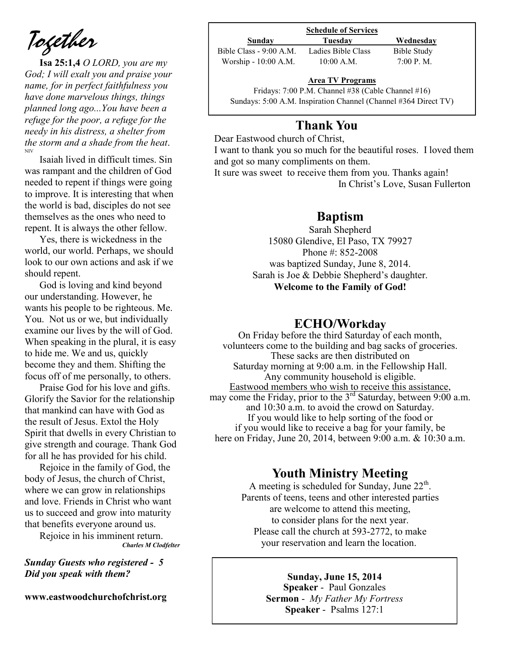*Together*

**Isa 25:1,4** *O LORD, you are my God; I will exalt you and praise your name, for in perfect faithfulness you have done marvelous things, things planned long ago...You have been a refuge for the poor, a refuge for the needy in his distress, a shelter from the storm and a shade from the heat*. NIV

Isaiah lived in difficult times. Sin was rampant and the children of God needed to repent if things were going to improve. It is interesting that when the world is bad, disciples do not see themselves as the ones who need to repent. It is always the other fellow.

Yes, there is wickedness in the world, our world. Perhaps, we should look to our own actions and ask if we should repent.

God is loving and kind beyond our understanding. However, he wants his people to be righteous. Me. You. Not us or we, but individually examine our lives by the will of God. When speaking in the plural, it is easy to hide me. We and us, quickly become they and them. Shifting the focus off of me personally, to others.

Praise God for his love and gifts. Glorify the Savior for the relationship that mankind can have with God as the result of Jesus. Extol the Holy Spirit that dwells in every Christian to give strength and courage. Thank God for all he has provided for his child.

Rejoice in the family of God, the body of Jesus, the church of Christ, where we can grow in relationships and love. Friends in Christ who want us to succeed and grow into maturity that benefits everyone around us.

Rejoice in his imminent return. *Charles M Clodfelter*

*Sunday Guests who registered - 5 Did you speak with them?*

**www.eastwoodchurchofchrist.org**

**Sunday Tuesday Wednesday** Bible Class - 9:00 A.M. Ladies Bible Class Bible Study Worship - 10:00 A.M. 10:00 A.M. 7:00 P.M.

#### **Area TV Programs**

Area TV Programs<br>Fridays: 7:00 P.M. Channel #38 (Cable Channel #16) Sundays: 5:00 A.M. Inspiration Channel (Channel #364 Direct TV)

## **Thank You**

Dear Eastwood church of Christ, I want to thank you so much for the beautiful roses. I loved them and got so many compliments on them. It sure was sweet to receive them from you. Thanks again! In Christ's Love, Susan Fullerton

## **Baptism**

Sarah Shepherd 15080 Glendive, El Paso, TX 79927 Phone #: 852-2008 was baptized Sunday, June 8, 2014. Sarah is Joe & Debbie Shepherd's daughter. **Welcome to the Family of God!** 

## **ECHO/Workday**

On Friday before the third Saturday of each month, volunteers come to the building and bag sacks of groceries. These sacks are then distributed on Saturday morning at 9:00 a.m. in the Fellowship Hall. Any community household is eligible. Eastwood members who wish to receive this assistance, may come the Friday, prior to the  $3<sup>rd</sup>$  Saturday, between 9:00 a.m. and 10:30 a.m. to avoid the crowd on Saturday. If you would like to help sorting of the food or if you would like to receive a bag for your family, be here on Friday, June 20, 2014, between 9:00 a.m. & 10:30 a.m.

## **Youth Ministry Meeting**

A meeting is scheduled for Sunday, June  $22<sup>th</sup>$ . Parents of teens, teens and other interested parties are welcome to attend this meeting, to consider plans for the next year. Please call the church at 593-2772, to make your reservation and learn the location.

> **Sunday, June 15, 2014 Speaker** - Paul Gonzales **Sermon** - *My Father My Fortress*  **Speaker** - Psalms 127:1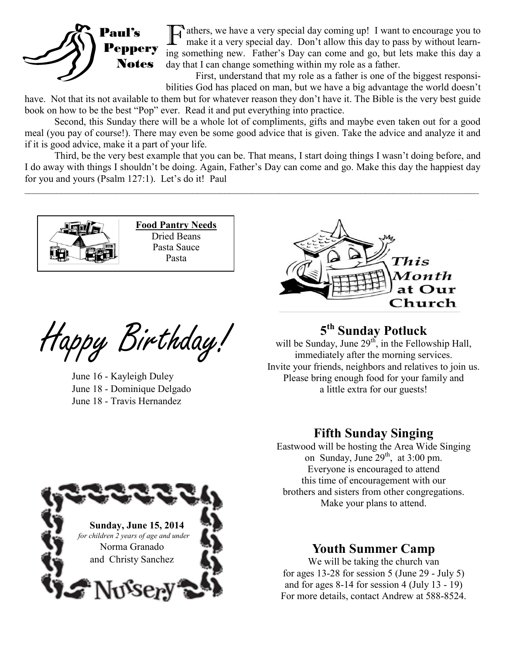

Tathers, we have a very special day coming up! I want to encourage you to make it a very special day. Don't allow this day to pass by without learnmake it a very special day. Don't allow this day to pass by without learning something new. Father's Day can come and go, but lets make this day a day that I can change something within my role as a father.

First, understand that my role as a father is one of the biggest responsibilities God has placed on man, but we have a big advantage the world doesn't

have. Not that its not available to them but for whatever reason they don't have it. The Bible is the very best guide book on how to be the best "Pop" ever. Read it and put everything into practice.

Second, this Sunday there will be a whole lot of compliments, gifts and maybe even taken out for a good meal (you pay of course!). There may even be some good advice that is given. Take the advice and analyze it and if it is good advice, make it a part of your life.

Third, be the very best example that you can be. That means, I start doing things I wasn't doing before, and I do away with things I shouldn't be doing. Again, Father's Day can come and go. Make this day the happiest day for you and yours (Psalm 127:1). Let's do it! Paul  $\mathcal{L}_\mathcal{L} = \mathcal{L}_\mathcal{L} = \mathcal{L}_\mathcal{L} = \mathcal{L}_\mathcal{L} = \mathcal{L}_\mathcal{L} = \mathcal{L}_\mathcal{L} = \mathcal{L}_\mathcal{L} = \mathcal{L}_\mathcal{L} = \mathcal{L}_\mathcal{L} = \mathcal{L}_\mathcal{L} = \mathcal{L}_\mathcal{L} = \mathcal{L}_\mathcal{L} = \mathcal{L}_\mathcal{L} = \mathcal{L}_\mathcal{L} = \mathcal{L}_\mathcal{L} = \mathcal{L}_\mathcal{L} = \mathcal{L}_\mathcal{L}$ 



**Food Pantry Needs** Dried Beans Pasta Sauce Pasta

Happy Birthday! **<sup>5</sup>**

June 16 - Kayleigh Duley June 18 - Dominique Delgado June 18 - Travis Hernandez



# **th Sunday Potluck**

will be Sunday, June  $29<sup>th</sup>$ , in the Fellowship Hall, immediately after the morning services. Invite your friends, neighbors and relatives to join us. Please bring enough food for your family and a little extra for our guests!

## **Fifth Sunday Singing**

Eastwood will be hosting the Area Wide Singing on Sunday, June  $29<sup>th</sup>$ , at 3:00 pm. Everyone is encouraged to attend this time of encouragement with our brothers and sisters from other congregations. Make your plans to attend.



## **Youth Summer Camp**

We will be taking the church van for ages 13-28 for session 5 (June 29 - July 5) and for ages 8-14 for session 4 (July 13 - 19) For more details, contact Andrew at 588-8524.